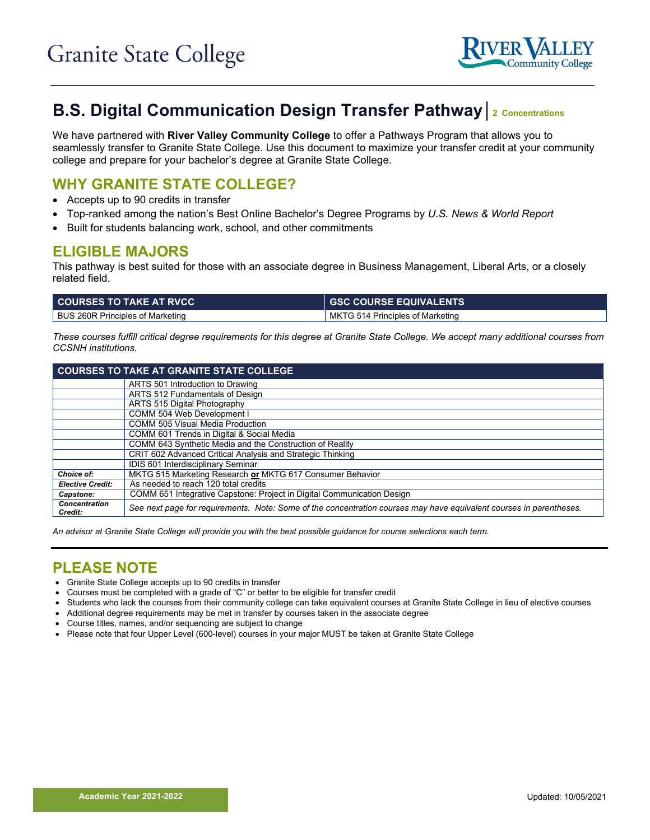

# **B.S. Digital Communication Design Transfer Pathway│<sup>2</sup> Concentrations**

We have partnered with **River Valley Community College** to offer a Pathways Program that allows you to seamlessly transfer to Granite State College. Use this document to maximize your transfer credit at your community college and prepare for your bachelor's degree at Granite State College.

## **WHY GRANITE STATE COLLEGE?**

- Accepts up to 90 credits in transfer
- Top-ranked among the nation's Best Online Bachelor's Degree Programs by *U.S. News & World Report*
- Built for students balancing work, school, and other commitments

#### **ELIGIBLE MAJORS**

This pathway is best suited for those with an associate degree in Business Management, Liberal Arts, or a closely related field.

| <b>COURSES TO TAKE AT RVCC</b>   | <b>GSC COURSE EQUIVALENTS</b>    |
|----------------------------------|----------------------------------|
| BUS 260R Principles of Marketing | MKTG 514 Principles of Marketing |

*These courses fulfill critical degree requirements for this degree at Granite State College. We accept many additional courses from CCSNH institutions.*

| <b>COURSES TO TAKE AT GRANITE STATE COLLEGE</b> |                                                                                                                     |  |
|-------------------------------------------------|---------------------------------------------------------------------------------------------------------------------|--|
|                                                 | ARTS 501 Introduction to Drawing                                                                                    |  |
|                                                 | ARTS 512 Fundamentals of Design                                                                                     |  |
|                                                 | ARTS 515 Digital Photography                                                                                        |  |
|                                                 | COMM 504 Web Development I                                                                                          |  |
|                                                 | <b>COMM 505 Visual Media Production</b>                                                                             |  |
|                                                 | COMM 601 Trends in Digital & Social Media                                                                           |  |
|                                                 | COMM 643 Synthetic Media and the Construction of Reality                                                            |  |
|                                                 | CRIT 602 Advanced Critical Analysis and Strategic Thinking                                                          |  |
|                                                 | IDIS 601 Interdisciplinary Seminar                                                                                  |  |
| <b>Choice of:</b>                               | MKTG 515 Marketing Research or MKTG 617 Consumer Behavior                                                           |  |
| <b>Elective Credit:</b>                         | As needed to reach 120 total credits                                                                                |  |
| Capstone:                                       | COMM 651 Integrative Capstone: Project in Digital Communication Design                                              |  |
| <b>Concentration</b><br>Credit:                 | See next page for requirements. Note: Some of the concentration courses may have equivalent courses in parentheses. |  |

*An advisor at Granite State College will provide you with the best possible guidance for course selections each term.*

# **PLEASE NOTE**

- Granite State College accepts up to 90 credits in transfer
- Courses must be completed with a grade of "C" or better to be eligible for transfer credit
- Students who lack the courses from their community college can take equivalent courses at Granite State College in lieu of elective courses
- Additional degree requirements may be met in transfer by courses taken in the associate degree
- Course titles, names, and/or sequencing are subject to change
- Please note that four Upper Level (600-level) courses in your major MUST be taken at Granite State College